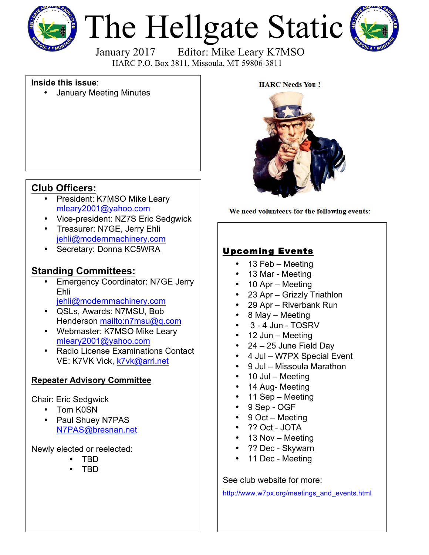

# The Hellgate Static



January 2017 Editor: Mike Leary K7MSO HARC P.O. Box 3811, Missoula, MT 59806-3811

#### **Inside this issue**:

• January Meeting Minutes



We need volunteers for the following events:

# **Club Officers:**

- President: K7MSO Mike Leary [mleary2001@yahoo.com](mailto:mleary2001@yahoo.com?subject=Hellgate Amateur Radio Club Web Site Info)
- Vice-president: NZ7S Eric Sedgwick
- Treasurer: N7GE, Jerry Ehli [jehli@modernmachinery.com](mailto:jehli@modernmachinery.com?subject=Hellgate Amateur Radio Club Info)
- Secretary: Donna KC5WRA

# **Standing Committees:**

- Emergency Coordinator: N7GE Jerry Ehli [jehli@modernmachinery.com](mailto:jehli@modernmachinery.com?subject=Hellgate Amateur Radio Club Info)
- QSLs, Awards: N7MSU, Bob Henderson <mailto:n7msu@q.com>
- Webmaster: K7MSO Mike Leary [mleary2001@yahoo.com](mailto:mleary2001@yahoo.com?subject=Hellgate Amateur Radio Club Web Site Info)
- Radio License Examinations Contact VE: K7VK Vick, [k7vk@arrl.net](mailto:k7vk@arrl.net?subject=Hellgate Amateur Radio Club License Exams)

### **Repeater Advisory Committee**

#### Chair: Eric Sedgwick

- Tom K0SN
- Paul Shuey N7PAS N7PAS@bresnan.net

Newly elected or reelected:

- TBD
- TBD

# Upcoming Events

- 13 Feb Meeting
- 13 Mar Meeting
- 10 Apr Meeting
- 23 Apr Grizzly Triathlon
- 29 Apr Riverbank Run
- 8 May Meeting
- 3 4 Jun TOSRV
- 12 Jun Meeting
- $24 25$  June Field Day
- 4 Jul W7PX Special Event
- 9 Jul Missoula Marathon
- 10 Jul Meeting
- 14 Aug- Meeting
- 11 Sep Meeting
- 9 Sep OGF
- 9 Oct Meeting
- ?? Oct JOTA
- 13 Nov Meeting
- ?? Dec Skywarn
- 11 Dec Meeting

See club website for more:

[http://www.w7px.org/meetings\\_and\\_events.html](http://www.w7px.org/meetings_and_events.html)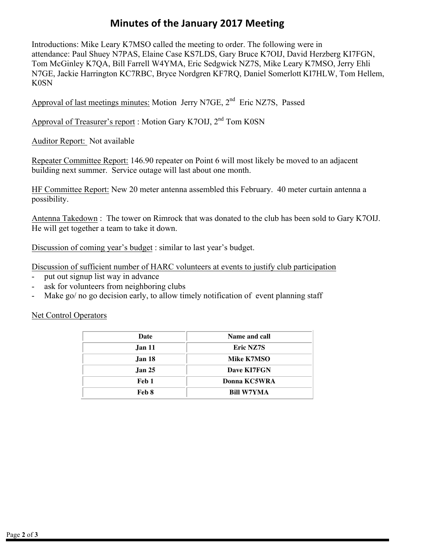# **Minutes of the January 2017 Meeting**

Introductions: Mike Leary K7MSO called the meeting to order. The following were in attendance: Paul Shuey N7PAS, Elaine Case KS7LDS, Gary Bruce K7OIJ, David Herzberg KI7FGN, Tom McGinley K7QA, Bill Farrell W4YMA, Eric Sedgwick NZ7S, Mike Leary K7MSO, Jerry Ehli N7GE, Jackie Harrington KC7RBC, Bryce Nordgren KF7RQ, Daniel Somerlott KI7HLW, Tom Hellem, K0SN

Approval of last meetings minutes: Motion Jerry N7GE, 2<sup>nd</sup> Eric NZ7S, Passed

Approval of Treasurer's report : Motion Gary K7OIJ,  $2<sup>nd</sup>$  Tom K0SN

Auditor Report: Not available

Repeater Committee Report: 146.90 repeater on Point 6 will most likely be moved to an adjacent building next summer. Service outage will last about one month.

HF Committee Report: New 20 meter antenna assembled this February. 40 meter curtain antenna a possibility.

Antenna Takedown : The tower on Rimrock that was donated to the club has been sold to Gary K7OIJ. He will get together a team to take it down.

Discussion of coming year's budget : similar to last year's budget.

Discussion of sufficient number of HARC volunteers at events to justify club participation

- put out signup list way in advance
- ask for volunteers from neighboring clubs
- Make go/ no go decision early, to allow timely notification of event planning staff

#### Net Control Operators

| Date          | Name and call     |
|---------------|-------------------|
| <b>Jan 11</b> | Eric NZ7S         |
| <b>Jan 18</b> | Mike K7MSO        |
| <b>Jan 25</b> | Dave KI7FGN       |
| Feb 1         | Donna KC5WRA      |
| Feb 8         | <b>Bill W7YMA</b> |